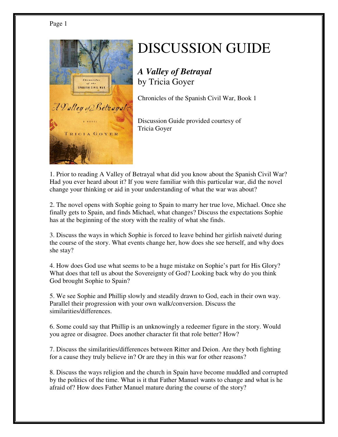

## DISCUSSION GUIDE

*A Valley of Betrayal* by Tricia Goyer

Chronicles of the Spanish Civil War, Book 1

Discussion Guide provided courtesy of Tricia Goyer

1. Prior to reading A Valley of Betrayal what did you know about the Spanish Civil War? Had you ever heard about it? If you were familiar with this particular war, did the novel change your thinking or aid in your understanding of what the war was about?

2. The novel opens with Sophie going to Spain to marry her true love, Michael. Once she finally gets to Spain, and finds Michael, what changes? Discuss the expectations Sophie has at the beginning of the story with the reality of what she finds.

3. Discuss the ways in which Sophie is forced to leave behind her girlish naiveté during the course of the story. What events change her, how does she see herself, and why does she stay?

4. How does God use what seems to be a huge mistake on Sophie's part for His Glory? What does that tell us about the Sovereignty of God? Looking back why do you think God brought Sophie to Spain?

5. We see Sophie and Phillip slowly and steadily drawn to God, each in their own way. Parallel their progression with your own walk/conversion. Discuss the similarities/differences.

6. Some could say that Phillip is an unknowingly a redeemer figure in the story. Would you agree or disagree. Does another character fit that role better? How?

7. Discuss the similarities/differences between Ritter and Deion. Are they both fighting for a cause they truly believe in? Or are they in this war for other reasons?

8. Discuss the ways religion and the church in Spain have become muddled and corrupted by the politics of the time. What is it that Father Manuel wants to change and what is he afraid of? How does Father Manuel mature during the course of the story?